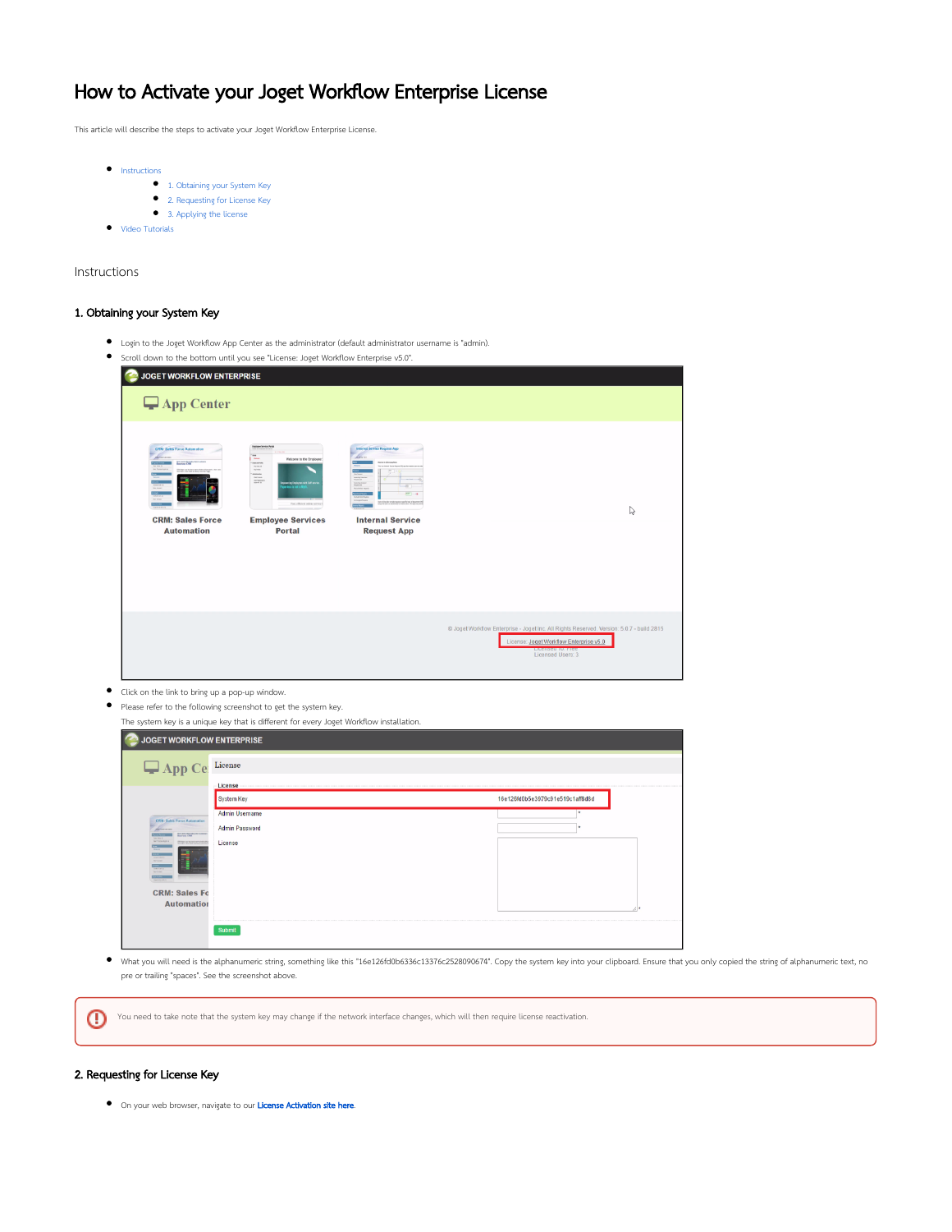## How to Activate your Joget Workflow Enterprise License

This article will describe the steps to activate your Joget Workflow Enterprise License.

 $\bullet$  [Instructions](#page-0-0) <sup>1</sup> [1. Obtaining your System Key](#page-0-1) [2. Requesting for License Key](#page-0-2) [3. Applying the license](#page-2-0) [Video Tutorials](#page-3-0)

<span id="page-0-0"></span>Instructions

## <span id="page-0-1"></span>1. Obtaining your System Key

Login to the Joget Workflow App Center as the administrator (default administrator username is "admin).  $\bullet$ 

| Scroll down to the bottom until you see "License: Joget Workflow Enterprise v5.0".                                                                                                                   |                                                                                                                                                                                                                                                                                                                                                                                                                                                                                                                                         |                                                                                                                                                                                                                                                                                                           |                                                                                                                                                                                      |  |
|------------------------------------------------------------------------------------------------------------------------------------------------------------------------------------------------------|-----------------------------------------------------------------------------------------------------------------------------------------------------------------------------------------------------------------------------------------------------------------------------------------------------------------------------------------------------------------------------------------------------------------------------------------------------------------------------------------------------------------------------------------|-----------------------------------------------------------------------------------------------------------------------------------------------------------------------------------------------------------------------------------------------------------------------------------------------------------|--------------------------------------------------------------------------------------------------------------------------------------------------------------------------------------|--|
| JOGET WORKFLOW ENTERPRISE<br>$\Box$ App Center                                                                                                                                                       |                                                                                                                                                                                                                                                                                                                                                                                                                                                                                                                                         |                                                                                                                                                                                                                                                                                                           |                                                                                                                                                                                      |  |
| <b>CRM: Sales Force Automation</b><br><b>Revised, Mix 8ds, Box 8,0000</b><br>Real-gase CVM<br>han 1954 (b)<br>Isa Pasuran<br>Wellaste cut bactery on<br><b>CRM: Sales Force</b><br><b>Automation</b> | <b>Engineer Sendors Partiel</b><br><b>The State</b><br>Welcome to the Employee<br>$\begin{array}{l} \mathcal{L}_{\text{M}}(\mathcal{M}) \\ \mathcal{L}_{\text{M}}(\mathcal{M}) \\ \mathcal{L}_{\text{M}}(\mathcal{M}) \end{array}$<br>$\begin{array}{l} \text{MSEERM} \\ \text{Wil} \text{ DSE} \\ \text{Mil} \text{ MSE} \\ \text{MSE} \\ \text{MSE} \\ \text{MSE} \end{array}$<br>.<br>Faseries Encloyes with Suff servi<br>Faseries are not a Mych.<br>Fert, efficient online service I<br><b>Employee Services</b><br><b>Portal</b> | Internal Service Request App<br>Albert 19<br>--<br>Sanday Inc.<br>Naskin II<br><b>A GONNA ROAD</b><br>$(10^{-1} - 4)$<br>.<br>International de no municipalmente aparticipante el departmente.<br>Integra del teórico establecto del fuebble subsecutor.<br><b>Internal Service</b><br><b>Request App</b> | r,                                                                                                                                                                                   |  |
|                                                                                                                                                                                                      |                                                                                                                                                                                                                                                                                                                                                                                                                                                                                                                                         |                                                                                                                                                                                                                                                                                                           | @ Joget Workflow Enterprise - Joget Inc. All Rights Reserved. Version: 5.0.7 - build 2815<br>License: Joget Workflow Enterprise v5.0<br><b>MUSHISSURIUM BIS</b><br>Licensed Users: 3 |  |

- $\bullet$  Click on the link to bring up a pop-up window.
- Please refer to the following screenshot to get the system key.

|                                                                                                                                                                                                                                                                                                                                                                                                    | License<br><b>System Key</b>                              | 16e126fd0b5e3979c91e519c1aff8d8d |
|----------------------------------------------------------------------------------------------------------------------------------------------------------------------------------------------------------------------------------------------------------------------------------------------------------------------------------------------------------------------------------------------------|-----------------------------------------------------------|----------------------------------|
| <b>CRM: Sales Force Automation</b><br>farmer<br><b>Barrows Hot Les Bernames</b><br>$27 - 1/2$<br><b>MONT</b><br><b>Apt From April 4</b><br>The log cycle home in provided why<br>$\frac{1}{2}$<br>$\begin{array}{c} \text{DFT} \text{DFT} \\ \text{DFT} \text{DFT} \\ \text{DFT} \text{DFT} \end{array}$<br><b>Stark</b><br>Telephone (1)<br>Greening<br><b>CRM: Sales Fo</b><br><b>Automation</b> | <b>Admin Username</b><br><b>Admin Password</b><br>License | ٠<br>٠.                          |

● What you will need is the alphanumeric string, something like this "16e126fd0b6336c13376c2528090674". Copy the system key into your clipboard. Ensure that you only copied the string of alphanumeric text, no pre or trailing "spaces". See the screenshot above.

You need to take note that the system key may change if the network interface changes, which will then require license reactivation.⊕

## <span id="page-0-2"></span>2. Requesting for License Key

On your web browser, navigate to our [License Activation site here.](http://license.cloud.joget.com/jw/web/userview/license/home/_/welcome)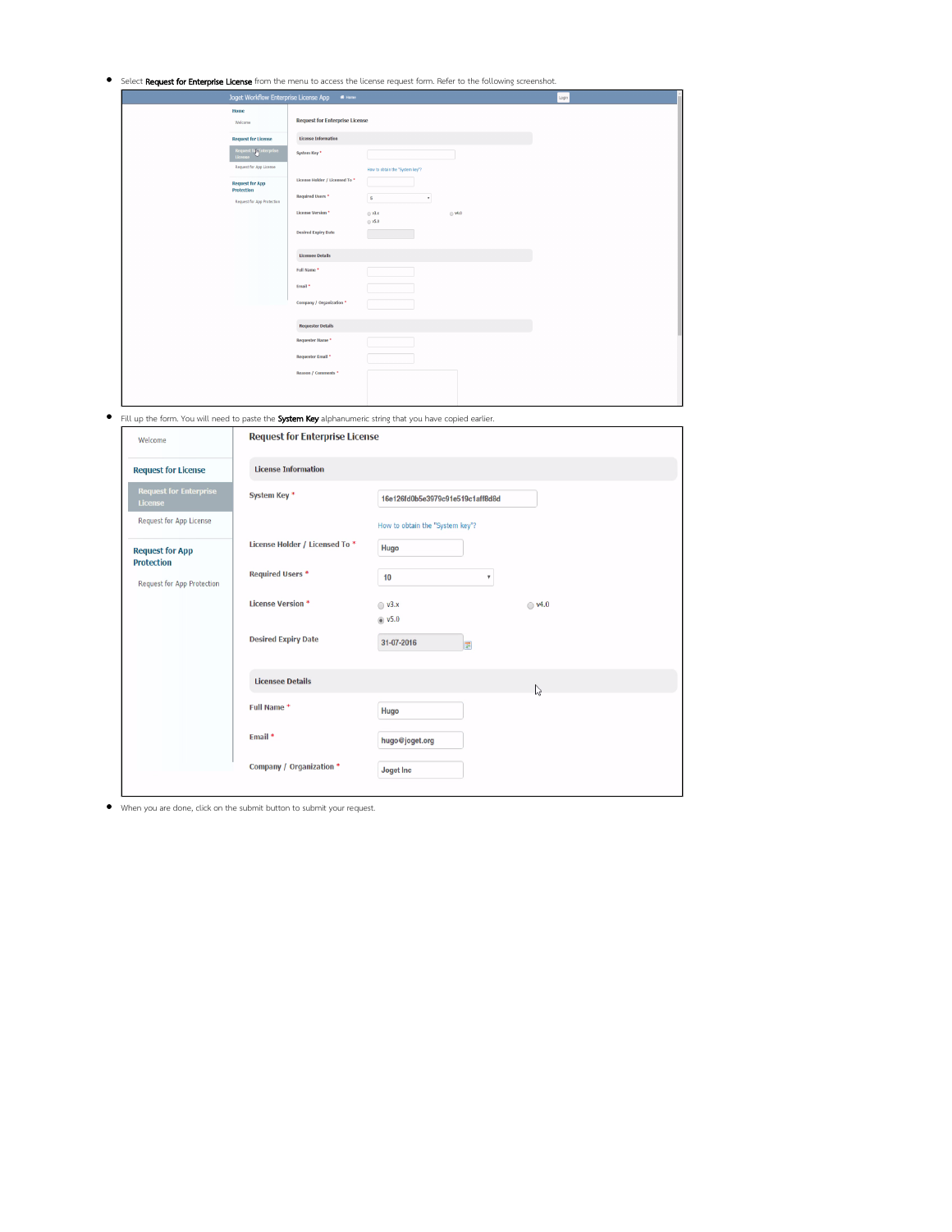**Select Request for Enterprise License** from the menu to access the license request form. Refer to the following screenshot.

| Joget Workflow Enterprise License App    | # Home                                |                                 | Login |  |
|------------------------------------------|---------------------------------------|---------------------------------|-------|--|
| Home<br>Welcome                          | <b>Request for Enterprise License</b> |                                 |       |  |
| <b>Request for License</b>               | <b>License Information</b>            |                                 |       |  |
| Request folyInterprise<br><b>License</b> | System Key*                           |                                 |       |  |
| Request for App License                  |                                       | How to obtain the "System key"? |       |  |
| <b>Request for App</b><br>Protection     | License Holder / Licensed To *        |                                 |       |  |
| Request for App Protection               | Required Users *<br>$5\overline{5}$   | $\tau$                          |       |  |
|                                          | License Version *<br>@V3.x            | $\oplus$ v4.0                   |       |  |
|                                          | @V5.0<br><b>Desired Expiry Date</b>   |                                 |       |  |
|                                          |                                       |                                 |       |  |
|                                          | <b>Licensee Details</b>               |                                 |       |  |
|                                          | Full Name *                           |                                 |       |  |
|                                          | Email *                               |                                 |       |  |
|                                          | Company / Organization *              |                                 |       |  |
|                                          | <b>Requester Details</b>              |                                 |       |  |
|                                          | Requester Name *                      |                                 |       |  |
|                                          | Requester Email *                     |                                 |       |  |
|                                          | Reason / Comments *                   |                                 |       |  |
|                                          |                                       |                                 |       |  |
|                                          |                                       |                                 |       |  |

Fill up the form. You will need to paste the **System Key** alphanumeric string that you have copied earlier.

| Welcome                                         | <b>Request for Enterprise License</b> |                                    |  |  |  |
|-------------------------------------------------|---------------------------------------|------------------------------------|--|--|--|
| <b>Request for License</b>                      | <b>License Information</b>            |                                    |  |  |  |
| <b>Request for Enterprise</b><br><b>License</b> | System Key *                          | 16e126fd0b5e3979c91e519c1aff8d8d   |  |  |  |
| Request for App License                         |                                       | How to obtain the "System key"?    |  |  |  |
| <b>Request for App</b><br><b>Protection</b>     | License Holder / Licensed To *        | Hugo                               |  |  |  |
| Request for App Protection                      | <b>Required Users *</b>               | 10<br>$\boldsymbol{\mathrm{v}}$    |  |  |  |
|                                                 | <b>License Version *</b>              | $\bigcirc$ v3.x<br>$\bigcirc$ v4.0 |  |  |  |
|                                                 | <b>Desired Expiry Date</b>            | @V5.0<br>31-07-2016<br>丽           |  |  |  |
|                                                 | <b>Licensee Details</b>               | Z                                  |  |  |  |
|                                                 | Full Name *                           | Hugo                               |  |  |  |
|                                                 | Email *                               | hugo@joget.org                     |  |  |  |
|                                                 | Company / Organization *              | Joget Inc                          |  |  |  |
|                                                 |                                       |                                    |  |  |  |

When you are done, click on the submit button to submit your request.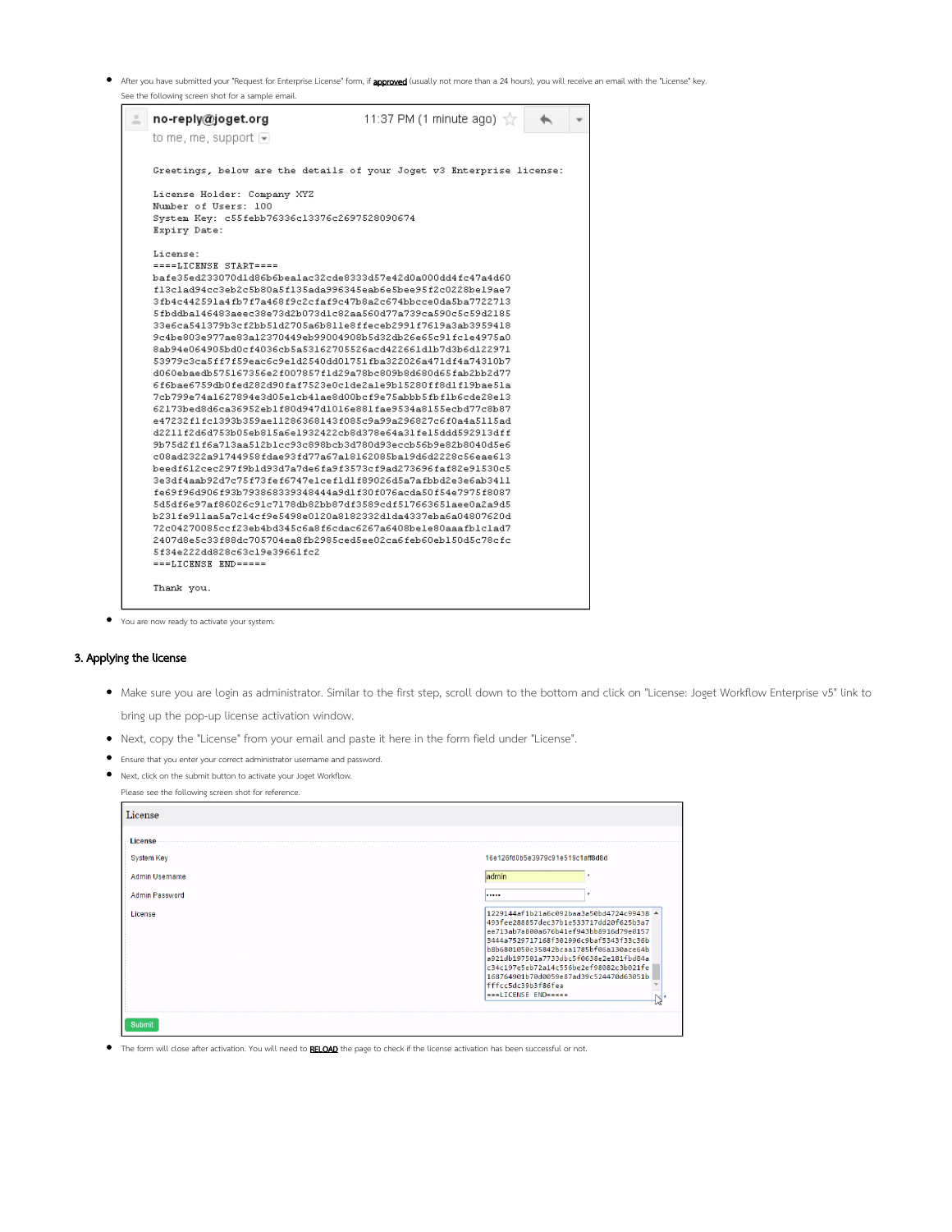● After you have submitted your "Request for Enterprise License" form, if approved (usually not more than a 24 hours), you will receive an email with the "License" key. See the following screen shot for a sample email.



You are now ready to activate your system.

## <span id="page-2-0"></span>3. Applying the license

- Make sure you are login as administrator. Similar to the first step, scroll down to the bottom and click on "License: Joget Workflow Enterprise v5" link to bring up the pop-up license activation window.
- Next, copy the "License" from your email and paste it here in the form field under "License".
- Ensure that you enter your correct administrator username and password.
- Next, click on the submit button to activate your Joget Workflow.

| Please see the following screen shot for reference. |                                                                                                                                                                                                                                                                                                                                                                                                   |  |  |  |
|-----------------------------------------------------|---------------------------------------------------------------------------------------------------------------------------------------------------------------------------------------------------------------------------------------------------------------------------------------------------------------------------------------------------------------------------------------------------|--|--|--|
| License                                             |                                                                                                                                                                                                                                                                                                                                                                                                   |  |  |  |
| <b>License</b>                                      |                                                                                                                                                                                                                                                                                                                                                                                                   |  |  |  |
| <b>System Key</b>                                   | 16e126fd0b5e3979c91e519c1aff8d8d                                                                                                                                                                                                                                                                                                                                                                  |  |  |  |
| <b>Admin Username</b>                               | admin                                                                                                                                                                                                                                                                                                                                                                                             |  |  |  |
| <b>Admin Password</b>                               |                                                                                                                                                                                                                                                                                                                                                                                                   |  |  |  |
| License                                             | 1229144af1b21a6c092baa3a50bd4724c99438 ^<br>493fee288857dec37b1e533717dd20f625b3a7<br>ee713ab7a800a676b41ef943bb8916d79e0157<br>3444a7529717168f302996c9baf5343f33c36b<br>b8b6801050c35842bcaa1785bf06a130ace64b<br>a921db197501a7733dbc5f0638e2e181fbd84a<br>c34c197e5eb72a14c556be2ef98082c3b021fe<br>168764901b70d0059e87ad39c524470d63051b<br>fffcc5dc39b3f86fea<br>===LICENSE END=====<br>₩. |  |  |  |
| <b>Submit</b>                                       |                                                                                                                                                                                                                                                                                                                                                                                                   |  |  |  |

The form will close after activation. You will need to RELOAD the page to check if the license activation has been successful or not.